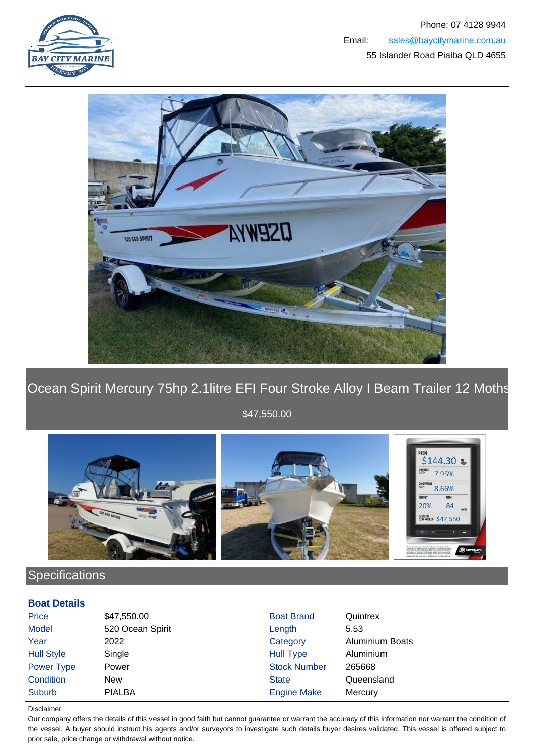



Ocean Spirit Mercury 75hp 2.1litre EFI Four Stroke Alloy I Beam Trailer 12 Moths





## **Specifications**

#### **Boat Details**

| Price             | \$47,550.00      | <b>Boat Brand</b>   | Quintrex               |
|-------------------|------------------|---------------------|------------------------|
| <b>Model</b>      | 520 Ocean Spirit | Length              | 5.53                   |
| Year              | 2022             | Category            | <b>Aluminium Boats</b> |
| <b>Hull Style</b> | Single           | <b>Hull Type</b>    | Aluminium              |
| Power Type        | Power            | <b>Stock Number</b> | 265668                 |
| Condition         | <b>New</b>       | <b>State</b>        | Queensland             |
| <b>Suburb</b>     | <b>PIALBA</b>    | <b>Engine Make</b>  | Mercury                |

Disclaimer

Our company offers the details of this vessel in good faith but cannot guarantee or warrant the accuracy of this information nor warrant the condition of the vessel. A buyer should instruct his agents and/or surveyors to investigate such details buyer desires validated. This vessel is offered subject to prior sale, price change or withdrawal without notice.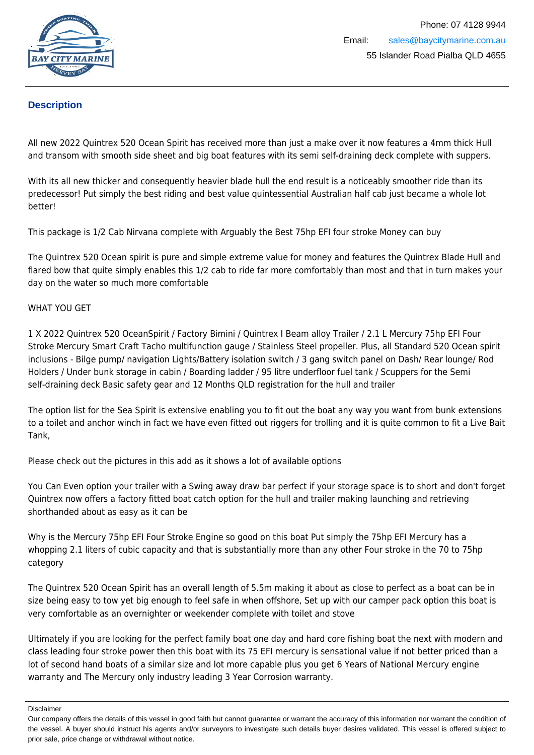

### **Description**

All new 2022 Quintrex 520 Ocean Spirit has received more than just a make over it now features a 4mm thick Hull and transom with smooth side sheet and big boat features with its semi self-draining deck complete with suppers.

With its all new thicker and consequently heavier blade hull the end result is a noticeably smoother ride than its predecessor! Put simply the best riding and best value quintessential Australian half cab just became a whole lot better!

This package is 1/2 Cab Nirvana complete with Arguably the Best 75hp EFI four stroke Money can buy

The Quintrex 520 Ocean spirit is pure and simple extreme value for money and features the Quintrex Blade Hull and flared bow that quite simply enables this 1/2 cab to ride far more comfortably than most and that in turn makes your day on the water so much more comfortable

#### WHAT YOU GET

1 X 2022 Quintrex 520 OceanSpirit / Factory Bimini / Quintrex I Beam alloy Trailer / 2.1 L Mercury 75hp EFI Four Stroke Mercury Smart Craft Tacho multifunction gauge / Stainless Steel propeller. Plus, all Standard 520 Ocean spirit inclusions - Bilge pump/ navigation Lights/Battery isolation switch / 3 gang switch panel on Dash/ Rear lounge/ Rod Holders / Under bunk storage in cabin / Boarding ladder / 95 litre underfloor fuel tank / Scuppers for the Semi self-draining deck Basic safety gear and 12 Months QLD registration for the hull and trailer

The option list for the Sea Spirit is extensive enabling you to fit out the boat any way you want from bunk extensions to a toilet and anchor winch in fact we have even fitted out riggers for trolling and it is quite common to fit a Live Bait Tank,

Please check out the pictures in this add as it shows a lot of available options

You Can Even option your trailer with a Swing away draw bar perfect if your storage space is to short and don't forget Quintrex now offers a factory fitted boat catch option for the hull and trailer making launching and retrieving shorthanded about as easy as it can be

Why is the Mercury 75hp EFI Four Stroke Engine so good on this boat Put simply the 75hp EFI Mercury has a whopping 2.1 liters of cubic capacity and that is substantially more than any other Four stroke in the 70 to 75hp category

The Quintrex 520 Ocean Spirit has an overall length of 5.5m making it about as close to perfect as a boat can be in size being easy to tow yet big enough to feel safe in when offshore, Set up with our camper pack option this boat is very comfortable as an overnighter or weekender complete with toilet and stove

Ultimately if you are looking for the perfect family boat one day and hard core fishing boat the next with modern and class leading four stroke power then this boat with its 75 EFI mercury is sensational value if not better priced than a lot of second hand boats of a similar size and lot more capable plus you get 6 Years of National Mercury engine warranty and The Mercury only industry leading 3 Year Corrosion warranty.

Disclaimer

Our company offers the details of this vessel in good faith but cannot guarantee or warrant the accuracy of this information nor warrant the condition of the vessel. A buyer should instruct his agents and/or surveyors to investigate such details buyer desires validated. This vessel is offered subject to prior sale, price change or withdrawal without notice.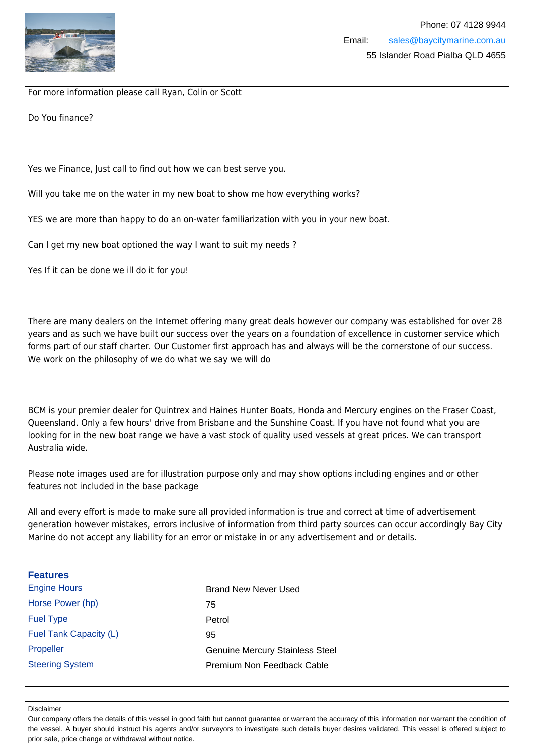

For more information please call Ryan, Colin or Scott

Do You finance?

Yes we Finance, Just call to find out how we can best serve you.

Will you take me on the water in my new boat to show me how everything works?

YES we are more than happy to do an on-water familiarization with you in your new boat.

Can I get my new boat optioned the way I want to suit my needs ?

Yes If it can be done we ill do it for you!

There are many dealers on the Internet offering many great deals however our company was established for over 28 years and as such we have built our success over the years on a foundation of excellence in customer service which forms part of our staff charter. Our Customer first approach has and always will be the cornerstone of our success. We work on the philosophy of we do what we say we will do

BCM is your premier dealer for Quintrex and Haines Hunter Boats, Honda and Mercury engines on the Fraser Coast, Queensland. Only a few hours' drive from Brisbane and the Sunshine Coast. If you have not found what you are looking for in the new boat range we have a vast stock of quality used vessels at great prices. We can transport Australia wide.

Please note images used are for illustration purpose only and may show options including engines and or other features not included in the base package

All and every effort is made to make sure all provided information is true and correct at time of advertisement generation however mistakes, errors inclusive of information from third party sources can occur accordingly Bay City Marine do not accept any liability for an error or mistake in or any advertisement and or details.

| <b>Features</b>        |                                        |
|------------------------|----------------------------------------|
| <b>Engine Hours</b>    | Brand New Never Used                   |
| Horse Power (hp)       | 75                                     |
| <b>Fuel Type</b>       | Petrol                                 |
| Fuel Tank Capacity (L) | 95                                     |
| Propeller              | <b>Genuine Mercury Stainless Steel</b> |
| <b>Steering System</b> | Premium Non Feedback Cable             |

#### Disclaimer

Our company offers the details of this vessel in good faith but cannot guarantee or warrant the accuracy of this information nor warrant the condition of the vessel. A buyer should instruct his agents and/or surveyors to investigate such details buyer desires validated. This vessel is offered subject to prior sale, price change or withdrawal without notice.